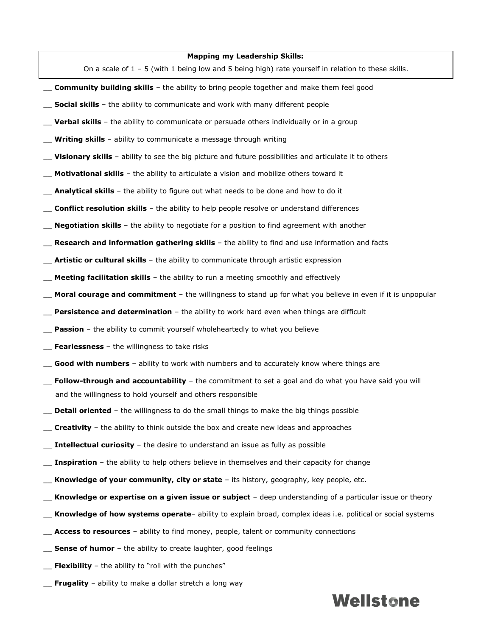## **Mapping my Leadership Skills:**

On a scale of  $1 - 5$  (with 1 being low and 5 being high) rate yourself in relation to these skills.

- \_\_ **Community building skills** the ability to bring people together and make them feel good
- \_\_ **Social skills** the ability to communicate and work with many different people
- **Verbal skills** the ability to communicate or persuade others individually or in a group
- **Writing skills** ability to communicate a message through writing
- **Visionary skills** ability to see the big picture and future possibilities and articulate it to others
- **Motivational skills** the ability to articulate a vision and mobilize others toward it
- \_\_ **Analytical skills** the ability to figure out what needs to be done and how to do it
- \_\_ **Conflict resolution skills** the ability to help people resolve or understand differences
- \_\_ **Negotiation skills** the ability to negotiate for a position to find agreement with another
- \_\_ **Research and information gathering skills** the ability to find and use information and facts
- Artistic or cultural skills the ability to communicate through artistic expression
- **Meeting facilitation skills** the ability to run a meeting smoothly and effectively
- \_\_ **Moral courage and commitment** the willingness to stand up for what you believe in even if it is unpopular
- **Persistence and determination** the ability to work hard even when things are difficult
- **Passion** the ability to commit yourself wholeheartedly to what you believe
- **Fearlessness** the willingness to take risks
- Good with numbers ability to work with numbers and to accurately know where things are
- Follow-through and accountability the commitment to set a goal and do what you have said you will and the willingness to hold yourself and others responsible
- \_\_ **Detail oriented** the willingness to do the small things to make the big things possible
- \_\_ **Creativity** the ability to think outside the box and create new ideas and approaches
- **Intellectual curiosity** the desire to understand an issue as fully as possible
- **Inspiration** the ability to help others believe in themselves and their capacity for change
- \_\_ **Knowledge of your community, city or state** its history, geography, key people, etc.
- Knowledge or expertise on a given issue or subject deep understanding of a particular issue or theory
- \_\_ **Knowledge of how systems operate** ability to explain broad, complex ideas i.e. political or social systems
- Access to resources ability to find money, people, talent or community connections
- **Sense of humor** the ability to create laughter, good feelings
- \_\_ **Flexibility** the ability to "roll with the punches"
- \_\_ **Frugality** ability to make a dollar stretch a long way

## **Wellstone**